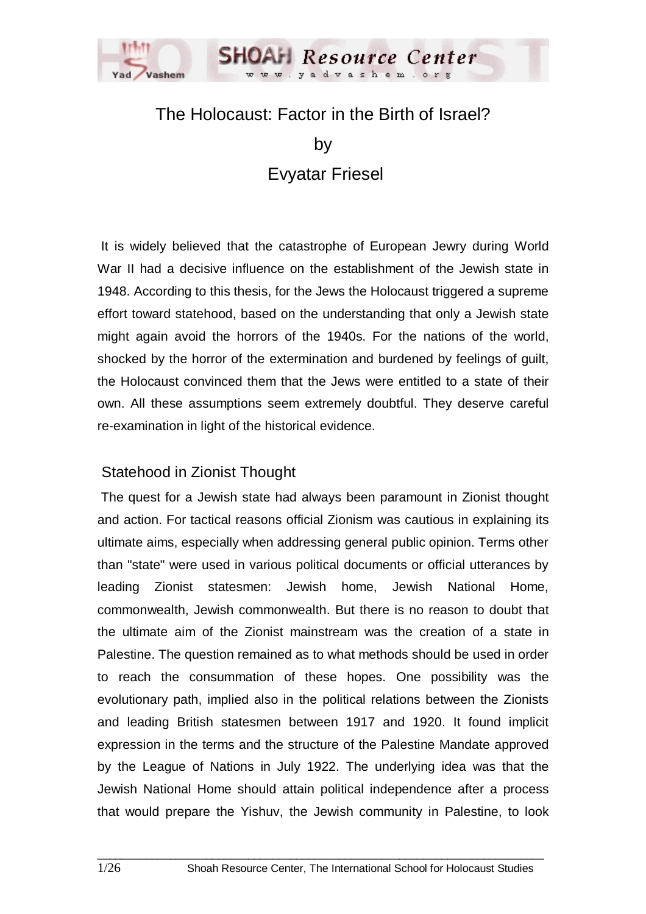

# The Holocaust: Factor in the Birth of Israel?

by

Evyatar Friesel

 It is widely believed that the catastrophe of European Jewry during World War II had a decisive influence on the establishment of the Jewish state in 1948. According to this thesis, for the Jews the Holocaust triggered a supreme effort toward statehood, based on the understanding that only a Jewish state might again avoid the horrors of the 1940s. For the nations of the world, shocked by the horror of the extermination and burdened by feelings of guilt, the Holocaust convinced them that the Jews were entitled to a state of their own. All these assumptions seem extremely doubtful. They deserve careful re-examination in light of the historical evidence.

## Statehood in Zionist Thought

 The quest for a Jewish state had always been paramount in Zionist thought and action. For tactical reasons official Zionism was cautious in explaining its ultimate aims, especially when addressing general public opinion. Terms other than "state" were used in various political documents or official utterances by leading Zionist statesmen: Jewish home, Jewish National Home, commonwealth, Jewish commonwealth. But there is no reason to doubt that the ultimate aim of the Zionist mainstream was the creation of a state in Palestine. The question remained as to what methods should be used in order to reach the consummation of these hopes. One possibility was the evolutionary path, implied also in the political relations between the Zionists and leading British statesmen between 1917 and 1920. It found implicit expression in the terms and the structure of the Palestine Mandate approved by the League of Nations in July 1922. The underlying idea was that the Jewish National Home should attain political independence after a process that would prepare the Yishuv, the Jewish community in Palestine, to look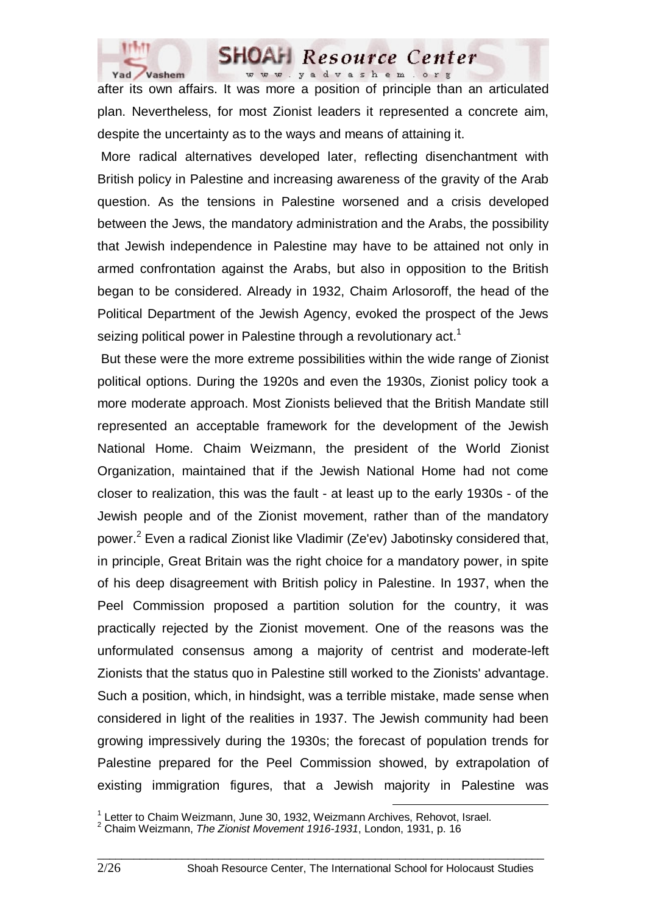

after its own affairs. It was more a position of principle than an articulated plan. Nevertheless, for most Zionist leaders it represented a concrete aim, despite the uncertainty as to the ways and means of attaining it.

 More radical alternatives developed later, reflecting disenchantment with British policy in Palestine and increasing awareness of the gravity of the Arab question. As the tensions in Palestine worsened and a crisis developed between the Jews, the mandatory administration and the Arabs, the possibility that Jewish independence in Palestine may have to be attained not only in armed confrontation against the Arabs, but also in opposition to the British began to be considered. Already in 1932, Chaim Arlosoroff, the head of the Political Department of the Jewish Agency, evoked the prospect of the Jews seizing political power in Palestine through a revolutionary act.<sup>1</sup>

 But these were the more extreme possibilities within the wide range of Zionist political options. During the 1920s and even the 1930s, Zionist policy took a more moderate approach. Most Zionists believed that the British Mandate still represented an acceptable framework for the development of the Jewish National Home. Chaim Weizmann, the president of the World Zionist Organization, maintained that if the Jewish National Home had not come closer to realization, this was the fault - at least up to the early 1930s - of the Jewish people and of the Zionist movement, rather than of the mandatory power.<sup>2</sup> Even a radical Zionist like Vladimir (Ze'ev) Jabotinsky considered that, in principle, Great Britain was the right choice for a mandatory power, in spite of his deep disagreement with British policy in Palestine. In 1937, when the Peel Commission proposed a partition solution for the country, it was practically rejected by the Zionist movement. One of the reasons was the unformulated consensus among a majority of centrist and moderate-left Zionists that the status quo in Palestine still worked to the Zionists' advantage. Such a position, which, in hindsight, was a terrible mistake, made sense when considered in light of the realities in 1937. The Jewish community had been growing impressively during the 1930s; the forecast of population trends for Palestine prepared for the Peel Commission showed, by extrapolation of existing immigration figures, that a Jewish majority in Palestine was

<sup>1</sup> Letter to Chaim Weizmann, June 30, 1932, Weizmann Archives, Rehovot, Israel. 2 Chaim Weizmann, *The Zionist Movement 1916-1931*, London, 1931, p. 16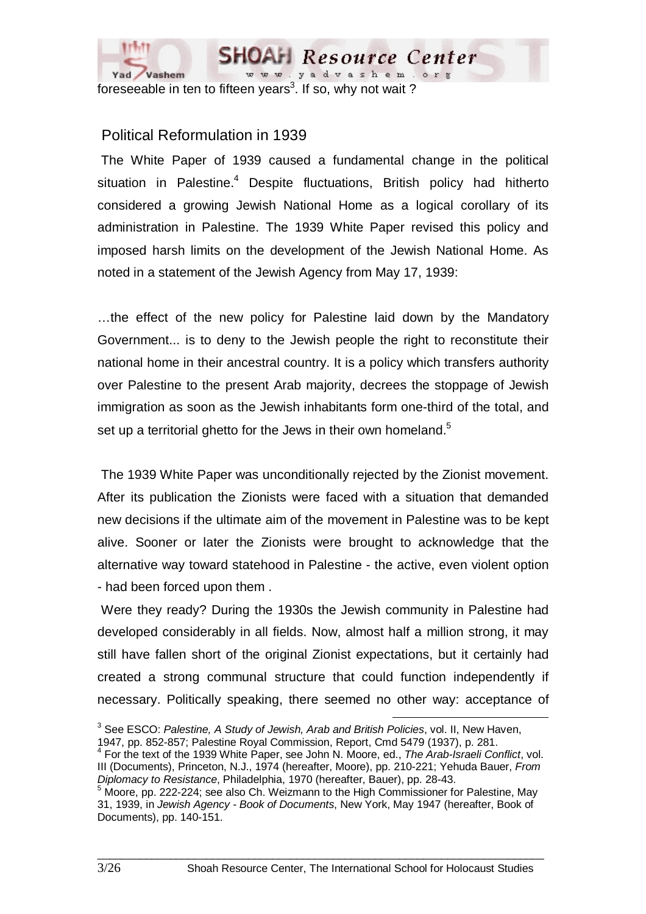

## foreseeable in ten to fifteen years<sup>3</sup>. If so, why not wait?

#### Political Reformulation in 1939

 The White Paper of 1939 caused a fundamental change in the political situation in Palestine.<sup>4</sup> Despite fluctuations, British policy had hitherto considered a growing Jewish National Home as a logical corollary of its administration in Palestine. The 1939 White Paper revised this policy and imposed harsh limits on the development of the Jewish National Home. As noted in a statement of the Jewish Agency from May 17, 1939:

…the effect of the new policy for Palestine laid down by the Mandatory Government... is to deny to the Jewish people the right to reconstitute their national home in their ancestral country. It is a policy which transfers authority over Palestine to the present Arab majority, decrees the stoppage of Jewish immigration as soon as the Jewish inhabitants form one-third of the total, and set up a territorial ghetto for the Jews in their own homeland.<sup>5</sup>

 The 1939 White Paper was unconditionally rejected by the Zionist movement. After its publication the Zionists were faced with a situation that demanded new decisions if the ultimate aim of the movement in Palestine was to be kept alive. Sooner or later the Zionists were brought to acknowledge that the alternative way toward statehood in Palestine - the active, even violent option - had been forced upon them .

 Were they ready? During the 1930s the Jewish community in Palestine had developed considerably in all fields. Now, almost half a million strong, it may still have fallen short of the original Zionist expectations, but it certainly had created a strong communal structure that could function independently if necessary. Politically speaking, there seemed no other way: acceptance of

<sup>3</sup> See ESCO: *Palestine, A Study of Jewish, Arab and British Policies*, vol. II, New Haven, 1947, pp. 852-857; Palestine Royal Commission, Report, Cmd 5479 (1937), p. 281.

<sup>4</sup> For the text of the 1939 White Paper, see John N. Moore, ed., *The Arab-Israeli Conflict*, vol. III (Documents), Princeton, N.J., 1974 (hereafter, Moore), pp. 210-221; Yehuda Bauer, *From Diplomacy to Resistance*, Philadelphia, 1970 (hereafter, Bauer), pp. 28-43.

<sup>&</sup>lt;sup>5</sup> Moore, pp. 222-224; see also Ch. Weizmann to the High Commissioner for Palestine, May 31, 1939, in *Jewish Agency - Book of Documents*, New York, May 1947 (hereafter, Book of Documents), pp. 140-151.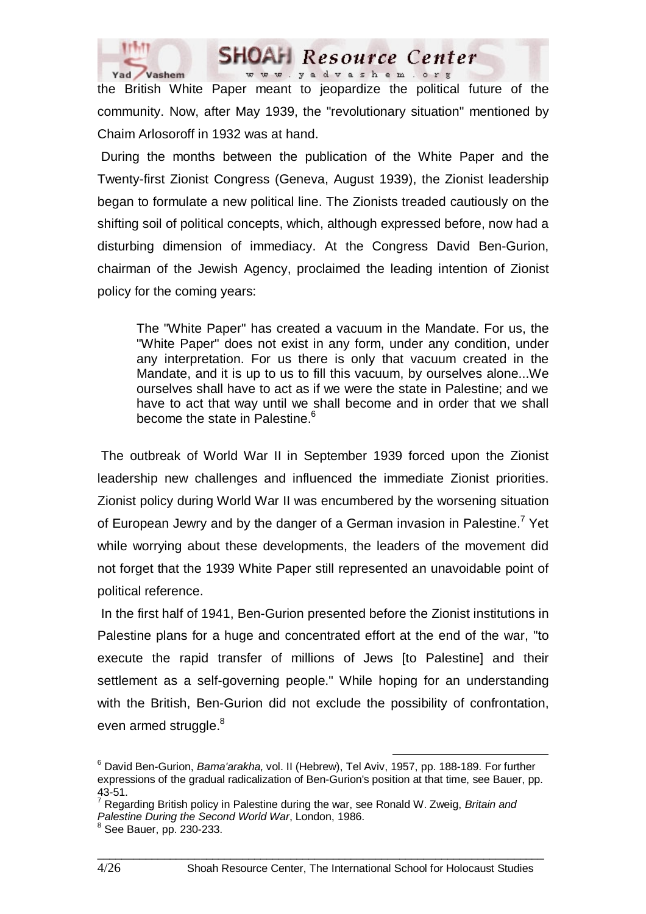



the British White Paper meant to jeopardize the political future of the community. Now, after May 1939, the "revolutionary situation" mentioned by Chaim Arlosoroff in 1932 was at hand.

 During the months between the publication of the White Paper and the Twenty-first Zionist Congress (Geneva, August 1939), the Zionist leadership began to formulate a new political line. The Zionists treaded cautiously on the shifting soil of political concepts, which, although expressed before, now had a disturbing dimension of immediacy. At the Congress David Ben-Gurion, chairman of the Jewish Agency, proclaimed the leading intention of Zionist policy for the coming years:

The "White Paper" has created a vacuum in the Mandate. For us, the "White Paper" does not exist in any form, under any condition, under any interpretation. For us there is only that vacuum created in the Mandate, and it is up to us to fill this vacuum, by ourselves alone...We ourselves shall have to act as if we were the state in Palestine; and we have to act that way until we shall become and in order that we shall become the state in Palestine.<sup>6</sup>

 The outbreak of World War II in September 1939 forced upon the Zionist leadership new challenges and influenced the immediate Zionist priorities. Zionist policy during World War II was encumbered by the worsening situation of European Jewry and by the danger of a German invasion in Palestine.<sup>7</sup> Yet while worrying about these developments, the leaders of the movement did not forget that the 1939 White Paper still represented an unavoidable point of political reference.

 In the first half of 1941, Ben-Gurion presented before the Zionist institutions in Palestine plans for a huge and concentrated effort at the end of the war, "to execute the rapid transfer of millions of Jews [to Palestine] and their settlement as a self-governing people." While hoping for an understanding with the British, Ben-Gurion did not exclude the possibility of confrontation, even armed struggle.<sup>8</sup>

<sup>6</sup> David Ben-Gurion, *Bama'arakha,* vol. II (Hebrew), Tel Aviv, 1957, pp. 188-189. For further expressions of the gradual radicalization of Ben-Gurion's position at that time, see Bauer, pp. 43-51.

<sup>7</sup> Regarding British policy in Palestine during the war, see Ronald W. Zweig, *Britain and Palestine During the Second World War*, London, 1986.

<sup>8</sup> See Bauer, pp. 230-233.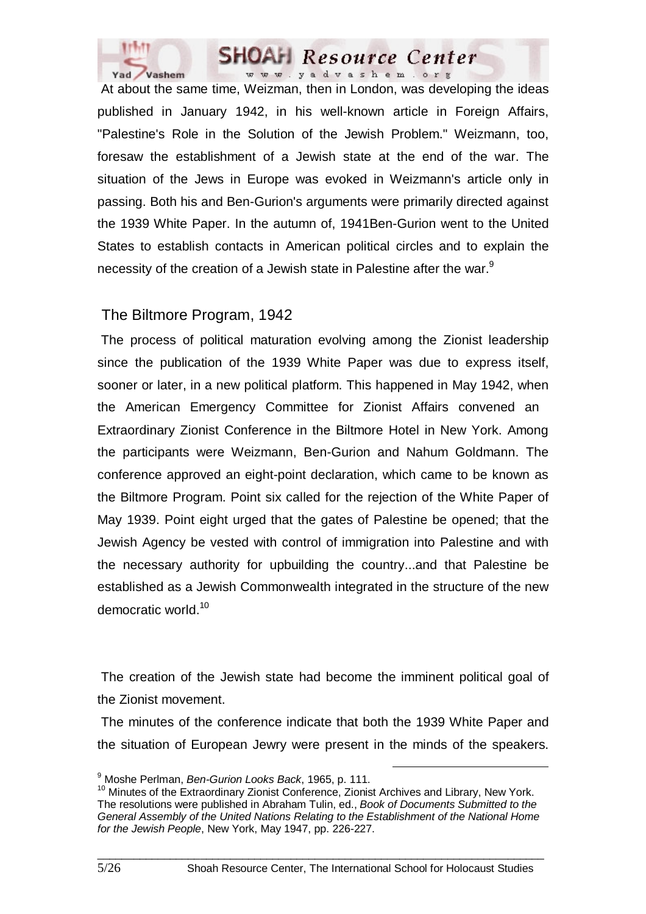

 At about the same time, Weizman, then in London, was developing the ideas published in January 1942, in his well-known article in Foreign Affairs, "Palestine's Role in the Solution of the Jewish Problem." Weizmann, too, foresaw the establishment of a Jewish state at the end of the war. The situation of the Jews in Europe was evoked in Weizmann's article only in passing. Both his and Ben-Gurion's arguments were primarily directed against the 1939 White Paper. In the autumn of, 1941 Ben-Gurion went to the United States to establish contacts in American political circles and to explain the necessity of the creation of a Jewish state in Palestine after the war. $9$ 

#### The Biltmore Program, 1942

 The process of political maturation evolving among the Zionist leadership since the publication of the 1939 White Paper was due to express itself, sooner or later, in a new political platform. This happened in May 1942, when the American Emergency Committee for Zionist Affairs convened an Extraordinary Zionist Conference in the Biltmore Hotel in New York. Among the participants were Weizmann, Ben-Gurion and Nahum Goldmann. The conference approved an eight-point declaration, which came to be known as the Biltmore Program. Point six called for the rejection of the White Paper of May 1939. Point eight urged that the gates of Palestine be opened; that the Jewish Agency be vested with control of immigration into Palestine and with the necessary authority for upbuilding the country...and that Palestine be established as a Jewish Commonwealth integrated in the structure of the new democratic world.<sup>10</sup>

 The creation of the Jewish state had become the imminent political goal of the Zionist movement.

 The minutes of the conference indicate that both the 1939 White Paper and the situation of European Jewry were present in the minds of the speakers.

<sup>9</sup> Moshe Perlman, *Ben-Gurion Looks Back*, 1965, p. 111.

<sup>&</sup>lt;sup>10</sup> Minutes of the Extraordinary Zionist Conference, Zionist Archives and Library, New York. The resolutions were published in Abraham Tulin, ed., *Book of Documents Submitted to the General Assembly of the United Nations Relating to the Establishment of the National Home for the Jewish People*, New York, May 1947, pp. 226-227.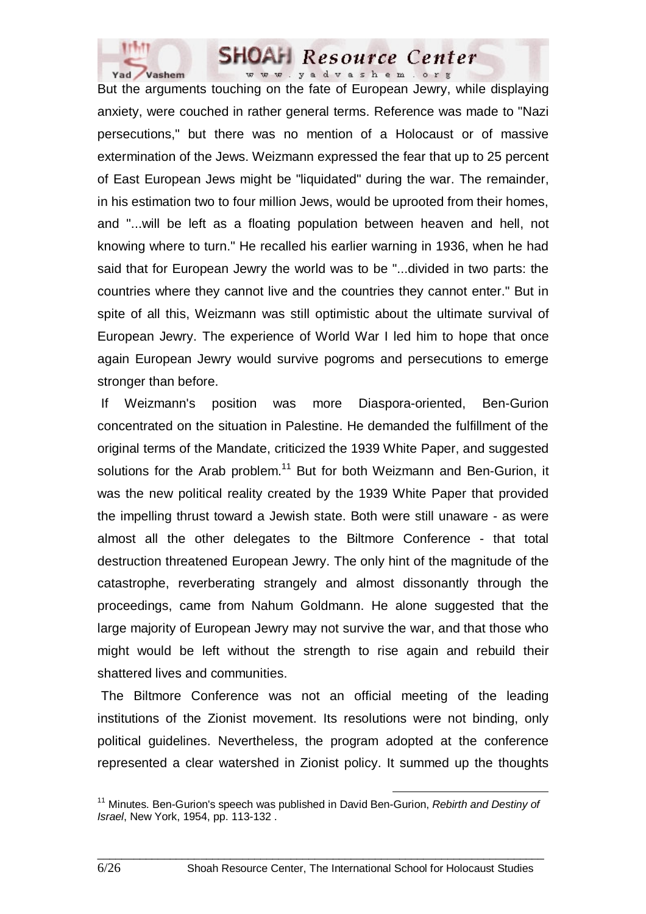

But the arguments touching on the fate of European Jewry, while displaying anxiety, were couched in rather general terms. Reference was made to "Nazi persecutions," but there was no mention of a Holocaust or of massive extermination of the Jews. Weizmann expressed the fear that up to 25 percent of East European Jews might be "liquidated" during the war. The remainder, in his estimation two to four million Jews, would be uprooted from their homes, and "...will be left as a floating population between heaven and hell, not knowing where to turn." He recalled his earlier warning in 1936, when he had said that for European Jewry the world was to be "...divided in two parts: the countries where they cannot live and the countries they cannot enter." But in spite of all this, Weizmann was still optimistic about the ultimate survival of European Jewry. The experience of World War I led him to hope that once again European Jewry would survive pogroms and persecutions to emerge stronger than before.

 If Weizmann's position was more Diaspora-oriented, Ben-Gurion concentrated on the situation in Palestine. He demanded the fulfillment of the original terms of the Mandate, criticized the 1939 White Paper, and suggested solutions for the Arab problem.<sup>11</sup> But for both Weizmann and Ben-Gurion, it was the new political reality created by the 1939 White Paper that provided the impelling thrust toward a Jewish state. Both were still unaware - as were almost all the other delegates to the Biltmore Conference - that total destruction threatened European Jewry. The only hint of the magnitude of the catastrophe, reverberating strangely and almost dissonantly through the proceedings, came from Nahum Goldmann. He alone suggested that the large majority of European Jewry may not survive the war, and that those who might would be left without the strength to rise again and rebuild their shattered lives and communities.

 The Biltmore Conference was not an official meeting of the leading institutions of the Zionist movement. Its resolutions were not binding, only political guidelines. Nevertheless, the program adopted at the conference represented a clear watershed in Zionist policy. It summed up the thoughts

11 Minutes. Ben-Gurion's speech was published in David Ben-Gurion, *Rebirth and Destiny of Israel*, New York, 1954, pp. 113-132 .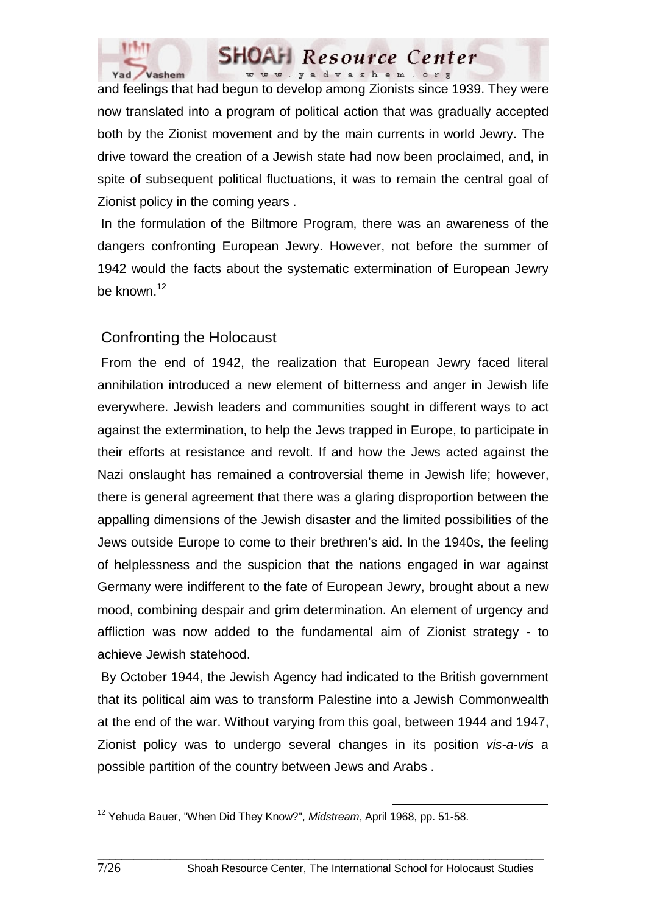

and feelings that had begun to develop among Zionists since 1939. They were now translated into a program of political action that was gradually accepted both by the Zionist movement and by the main currents in world Jewry. The drive toward the creation of a Jewish state had now been proclaimed, and, in spite of subsequent political fluctuations, it was to remain the central goal of Zionist policy in the coming years .

 In the formulation of the Biltmore Program, there was an awareness of the dangers confronting European Jewry. However, not before the summer of 1942 would the facts about the systematic extermination of European Jewry be known.<sup>12</sup>

## Confronting the Holocaust

 From the end of 1942, the realization that European Jewry faced literal annihilation introduced a new element of bitterness and anger in Jewish life everywhere. Jewish leaders and communities sought in different ways to act against the extermination, to help the Jews trapped in Europe, to participate in their efforts at resistance and revolt. If and how the Jews acted against the Nazi onslaught has remained a controversial theme in Jewish life; however, there is general agreement that there was a glaring disproportion between the appalling dimensions of the Jewish disaster and the limited possibilities of the Jews outside Europe to come to their brethren's aid. In the 1940s, the feeling of helplessness and the suspicion that the nations engaged in war against Germany were indifferent to the fate of European Jewry, brought about a new mood, combining despair and grim determination. An element of urgency and affliction was now added to the fundamental aim of Zionist strategy - to achieve Jewish statehood.

 By October 1944, the Jewish Agency had indicated to the British government that its political aim was to transform Palestine into a Jewish Commonwealth at the end of the war. Without varying from this goal, between 1944 and 1947, Zionist policy was to undergo several changes in its position *vis-a-vis* a possible partition of the country between Jews and Arabs .

12 Yehuda Bauer, "When Did They Know?", *Midstream*, April 1968, pp. 51-58.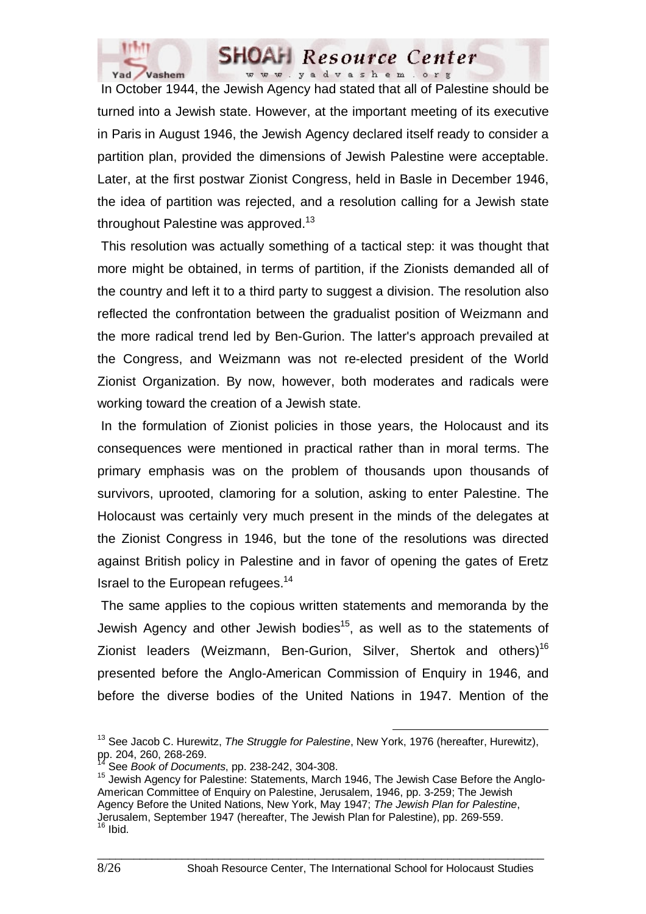

 In October 1944, the Jewish Agency had stated that all of Palestine should be turned into a Jewish state. However, at the important meeting of its executive in Paris in August 1946, the Jewish Agency declared itself ready to consider a partition plan, provided the dimensions of Jewish Palestine were acceptable. Later, at the first postwar Zionist Congress, held in Basle in December 1946, the idea of partition was rejected, and a resolution calling for a Jewish state throughout Palestine was approved.<sup>13</sup>

 This resolution was actually something of a tactical step: it was thought that more might be obtained, in terms of partition, if the Zionists demanded all of the country and left it to a third party to suggest a division. The resolution also reflected the confrontation between the gradualist position of Weizmann and the more radical trend led by Ben-Gurion. The latter's approach prevailed at the Congress, and Weizmann was not re-elected president of the World Zionist Organization. By now, however, both moderates and radicals were working toward the creation of a Jewish state.

 In the formulation of Zionist policies in those years, the Holocaust and its consequences were mentioned in practical rather than in moral terms. The primary emphasis was on the problem of thousands upon thousands of survivors, uprooted, clamoring for a solution, asking to enter Palestine. The Holocaust was certainly very much present in the minds of the delegates at the Zionist Congress in 1946, but the tone of the resolutions was directed against British policy in Palestine and in favor of opening the gates of Eretz Israel to the European refugees.<sup>14</sup>

 The same applies to the copious written statements and memoranda by the Jewish Agency and other Jewish bodies<sup>15</sup>, as well as to the statements of Zionist leaders (Weizmann, Ben-Gurion, Silver, Shertok and others)<sup>16</sup> presented before the Anglo-American Commission of Enquiry in 1946, and before the diverse bodies of the United Nations in 1947. Mention of the

<sup>&</sup>lt;sup>13</sup> See Jacob C. Hurewitz, *The Struggle for Palestine*, New York, 1976 (hereafter, Hurewitz), pp. 204, 260, 268-269.

<sup>14</sup> See *Book of Documents*, pp. 238-242, 304-308.

<sup>15</sup> Jewish Agency for Palestine: Statements, March 1946, The Jewish Case Before the Anglo-American Committee of Enquiry on Palestine, Jerusalem, 1946, pp. 3-259; The Jewish Agency Before the United Nations, New York, May 1947; *The Jewish Plan for Palestine*, Jerusalem, September 1947 (hereafter, The Jewish Plan for Palestine), pp. 269-559.  $16$  Ibid.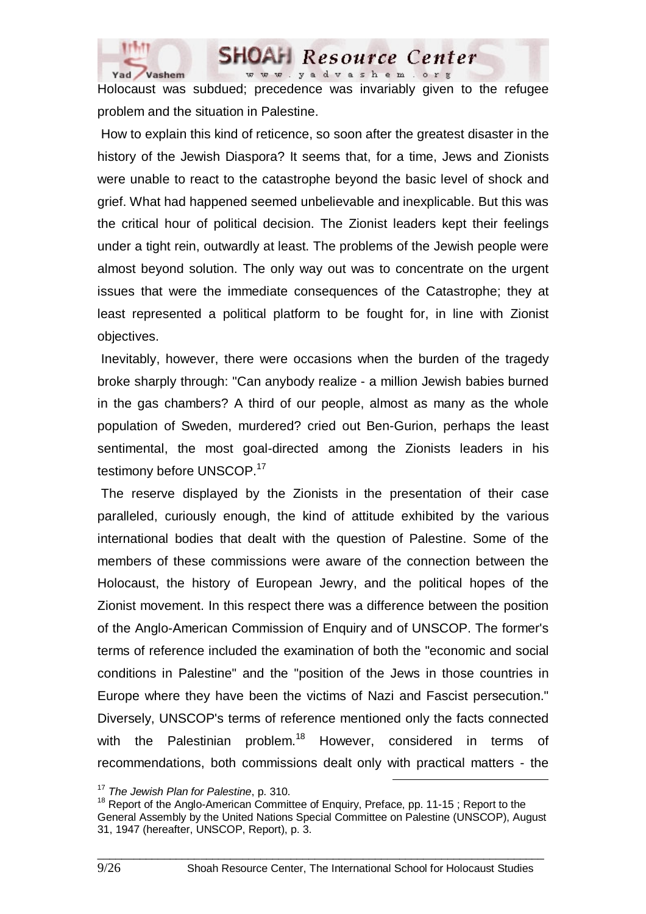

Holocaust was subdued; precedence was invariably given to the refugee problem and the situation in Palestine.

**SHOAH** Resource Center www.yadvashem.org

 How to explain this kind of reticence, so soon after the greatest disaster in the history of the Jewish Diaspora? It seems that, for a time, Jews and Zionists were unable to react to the catastrophe beyond the basic level of shock and grief. What had happened seemed unbelievable and inexplicable. But this was the critical hour of political decision. The Zionist leaders kept their feelings under a tight rein, outwardly at least. The problems of the Jewish people were almost beyond solution. The only way out was to concentrate on the urgent issues that were the immediate consequences of the Catastrophe; they at least represented a political platform to be fought for, in line with Zionist objectives.

 Inevitably, however, there were occasions when the burden of the tragedy broke sharply through: "Can anybody realize - a million Jewish babies burned in the gas chambers? A third of our people, almost as many as the whole population of Sweden, murdered? cried out Ben-Gurion, perhaps the least sentimental, the most goal-directed among the Zionists leaders in his testimony before UNSCOP.<sup>17</sup>

 The reserve displayed by the Zionists in the presentation of their case paralleled, curiously enough, the kind of attitude exhibited by the various international bodies that dealt with the question of Palestine. Some of the members of these commissions were aware of the connection between the Holocaust, the history of European Jewry, and the political hopes of the Zionist movement. In this respect there was a difference between the position of the Anglo-American Commission of Enquiry and of UNSCOP. The former's terms of reference included the examination of both the "economic and social conditions in Palestine" and the "position of the Jews in those countries in Europe where they have been the victims of Nazi and Fascist persecution." Diversely, UNSCOP's terms of reference mentioned only the facts connected with the Palestinian problem.<sup>18</sup> However, considered in terms of recommendations, both commissions dealt only with practical matters - the

<sup>17</sup> *The Jewish Plan for Palestine*, p. 310.

<sup>&</sup>lt;sup>18</sup> Report of the Anglo-American Committee of Enquiry, Preface, pp. 11-15 ; Report to the General Assembly by the United Nations Special Committee on Palestine (UNSCOP), August 31, 1947 (hereafter, UNSCOP, Report), p. 3.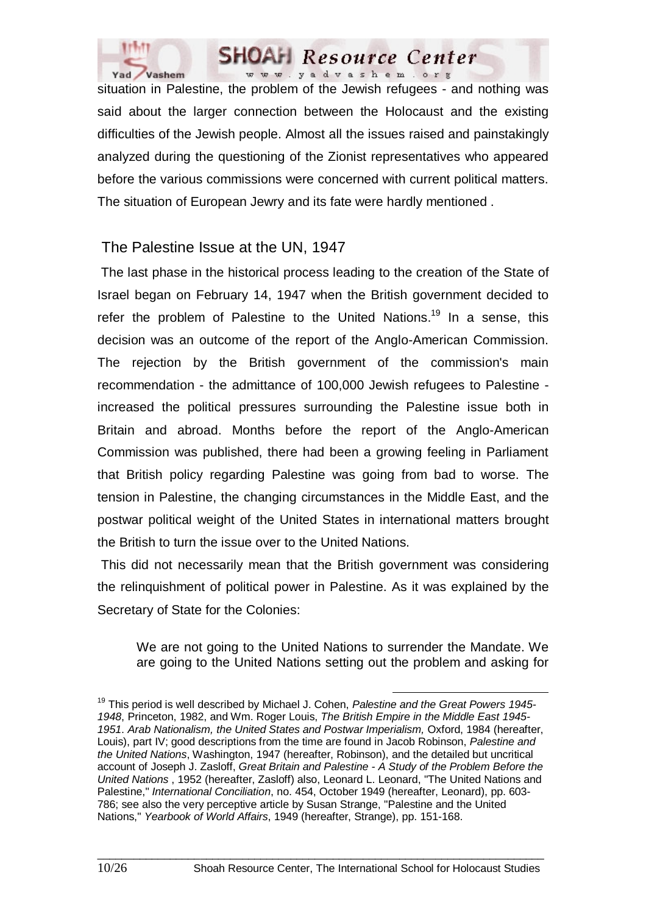

situation in Palestine, the problem of the Jewish refugees - and nothing was said about the larger connection between the Holocaust and the existing difficulties of the Jewish people. Almost all the issues raised and painstakingly analyzed during the questioning of the Zionist representatives who appeared before the various commissions were concerned with current political matters. The situation of European Jewry and its fate were hardly mentioned .

#### The Palestine Issue at the UN, 1947

 The last phase in the historical process leading to the creation of the State of Israel began on February 14, 1947 when the British government decided to refer the problem of Palestine to the United Nations.<sup>19</sup> In a sense, this decision was an outcome of the report of the Anglo-American Commission. The rejection by the British government of the commission's main recommendation - the admittance of 100,000 Jewish refugees to Palestine increased the political pressures surrounding the Palestine issue both in Britain and abroad. Months before the report of the Anglo-American Commission was published, there had been a growing feeling in Parliament that British policy regarding Palestine was going from bad to worse. The tension in Palestine, the changing circumstances in the Middle East, and the postwar political weight of the United States in international matters brought the British to turn the issue over to the United Nations.

 This did not necessarily mean that the British government was considering the relinquishment of political power in Palestine. As it was explained by the Secretary of State for the Colonies:

We are not going to the United Nations to surrender the Mandate. We are going to the United Nations setting out the problem and asking for

19 This period is well described by Michael J. Cohen, *Palestine and the Great Powers 1945- 1948*, Princeton, 1982, and Wm. Roger Louis, *The British Empire in the Middle East 1945- 1951*. *Arab Nationalism, the United States and Postwar Imperialism,* Oxford, 1984 (hereafter, Louis), part IV; good descriptions from the time are found in Jacob Robinson, *Palestine and the United Nations*, Washington, 1947 (hereafter, Robinson), and the detailed but uncritical account of Joseph J. Zasloff, *Great Britain and Palestine - A Study of the Problem Before the United Nations* , 1952 (hereafter, Zasloff) also, Leonard L. Leonard, "The United Nations and Palestine," *International Conciliation*, no. 454, October 1949 (hereafter, Leonard), pp. 603- 786; see also the very perceptive article by Susan Strange, "Palestine and the United Nations," *Yearbook of World Affairs*, 1949 (hereafter, Strange), pp. 151-168.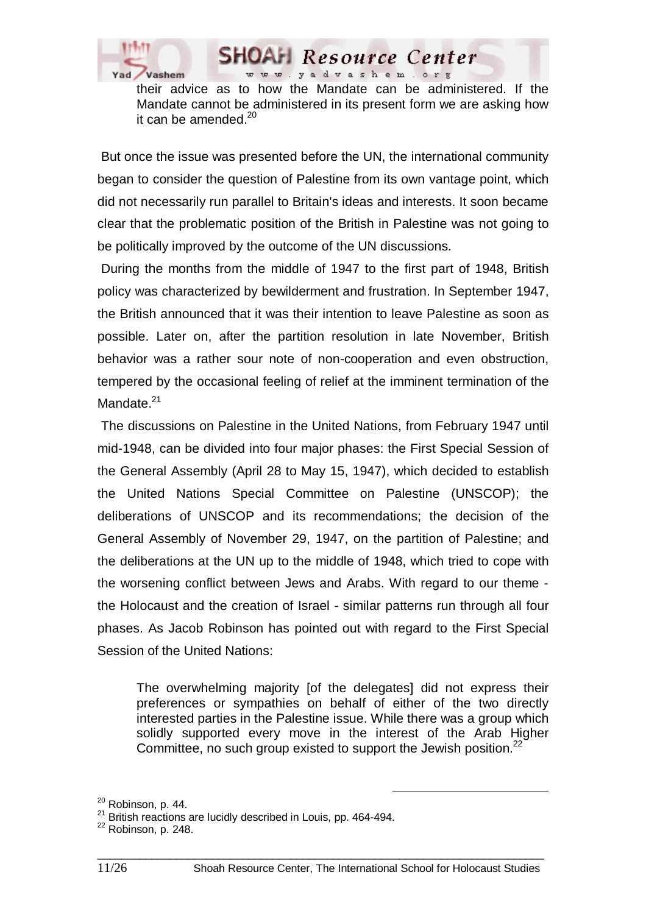

their advice as to how the Mandate can be administered. If the Mandate cannot be administered in its present form we are asking how it can be amended. $20$ 

**SHOAH Resource Center** www.yadvashem.org

 But once the issue was presented before the UN, the international community began to consider the question of Palestine from its own vantage point, which did not necessarily run parallel to Britain's ideas and interests. It soon became clear that the problematic position of the British in Palestine was not going to be politically improved by the outcome of the UN discussions.

 During the months from the middle of 1947 to the first part of 1948, British policy was characterized by bewilderment and frustration. In September 1947, the British announced that it was their intention to leave Palestine as soon as possible. Later on, after the partition resolution in late November, British behavior was a rather sour note of non-cooperation and even obstruction, tempered by the occasional feeling of relief at the imminent termination of the Mandate.<sup>21</sup>

 The discussions on Palestine in the United Nations, from February 1947 until mid-1948, can be divided into four major phases: the First Special Session of the General Assembly (April 28 to May 15, 1947), which decided to establish the United Nations Special Committee on Palestine (UNSCOP); the deliberations of UNSCOP and its recommendations; the decision of the General Assembly of November 29, 1947, on the partition of Palestine; and the deliberations at the UN up to the middle of 1948, which tried to cope with the worsening conflict between Jews and Arabs. With regard to our theme the Holocaust and the creation of Israel - similar patterns run through all four phases. As Jacob Robinson has pointed out with regard to the First Special Session of the United Nations:

The overwhelming majority [of the delegates] did not express their preferences or sympathies on behalf of either of the two directly interested parties in the Palestine issue. While there was a group which solidly supported every move in the interest of the Arab Higher Committee, no such group existed to support the Jewish position.<sup>22</sup>

<sup>&</sup>lt;sup>20</sup> Robinson, p. 44.<br><sup>21</sup> British reactions are lucidly described in Louis, pp. 464-494.<br><sup>22</sup> Robinson. p. 248.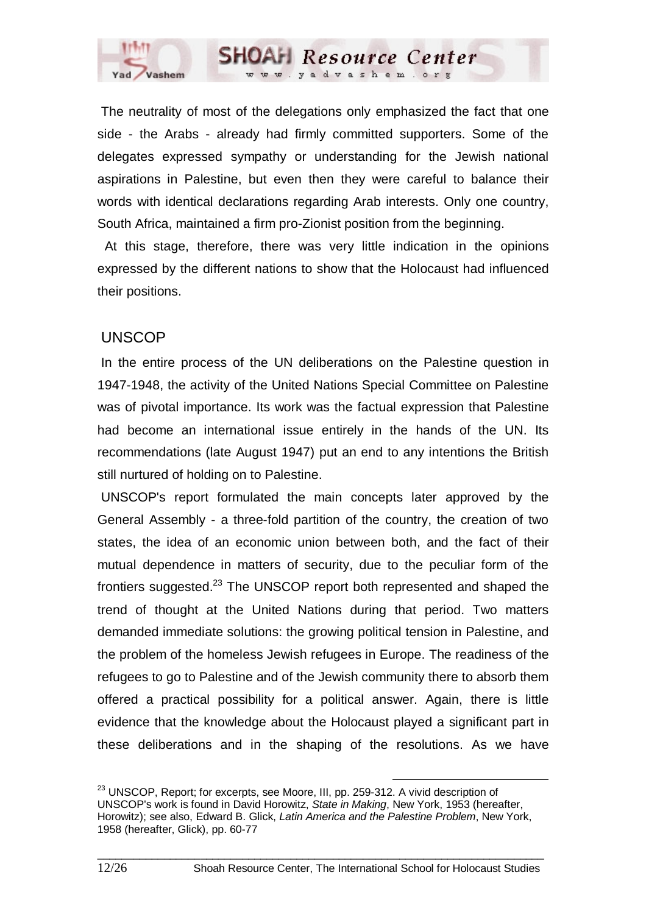

 The neutrality of most of the delegations only emphasized the fact that one side - the Arabs - already had firmly committed supporters. Some of the delegates expressed sympathy or understanding for the Jewish national aspirations in Palestine, but even then they were careful to balance their words with identical declarations regarding Arab interests. Only one country, South Africa, maintained a firm pro-Zionist position from the beginning.

**SHOAH Resource Center** www.yadvashem.org

 At this stage, therefore, there was very little indication in the opinions expressed by the different nations to show that the Holocaust had influenced their positions.

#### UNSCOP

 In the entire process of the UN deliberations on the Palestine question in 1947-1948, the activity of the United Nations Special Committee on Palestine was of pivotal importance. Its work was the factual expression that Palestine had become an international issue entirely in the hands of the UN. Its recommendations (late August 1947) put an end to any intentions the British still nurtured of holding on to Palestine.

 UNSCOP's report formulated the main concepts later approved by the General Assembly - a three-fold partition of the country, the creation of two states, the idea of an economic union between both, and the fact of their mutual dependence in matters of security, due to the peculiar form of the frontiers suggested.<sup>23</sup> The UNSCOP report both represented and shaped the trend of thought at the United Nations during that period. Two matters demanded immediate solutions: the growing political tension in Palestine, and the problem of the homeless Jewish refugees in Europe. The readiness of the refugees to go to Palestine and of the Jewish community there to absorb them offered a practical possibility for a political answer. Again, there is little evidence that the knowledge about the Holocaust played a significant part in these deliberations and in the shaping of the resolutions. As we have

<sup>&</sup>lt;sup>23</sup> UNSCOP, Report; for excerpts, see Moore, III, pp. 259-312. A vivid description of UNSCOP's work is found in David Horowitz, *State in Making*, New York, 1953 (hereafter, Horowitz); see also, Edward B. Glick, *Latin America and the Palestine Problem*, New York, 1958 (hereafter, Glick), pp. 60-77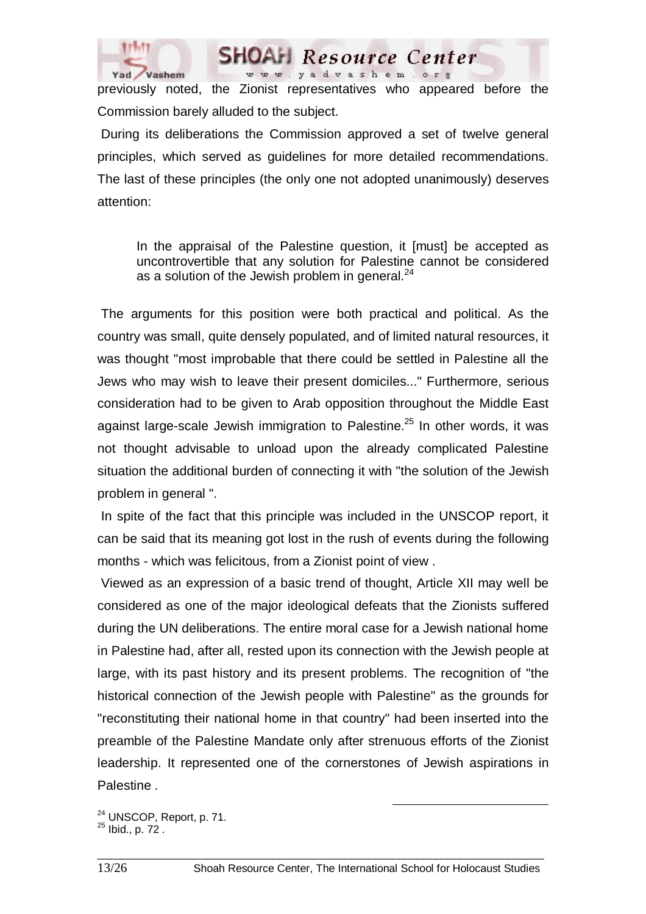

previously noted, the Zionist representatives who appeared before the Commission barely alluded to the subject.

**SHOAH** Resource Center www.yadvashem.org

 During its deliberations the Commission approved a set of twelve general principles, which served as guidelines for more detailed recommendations. The last of these principles (the only one not adopted unanimously) deserves attention:

In the appraisal of the Palestine question, it [must] be accepted as uncontrovertible that any solution for Palestine cannot be considered as a solution of the Jewish problem in general. $^{24}$ 

 The arguments for this position were both practical and political. As the country was small, quite densely populated, and of limited natural resources, it was thought "most improbable that there could be settled in Palestine all the Jews who may wish to leave their present domiciles..." Furthermore, serious consideration had to be given to Arab opposition throughout the Middle East against large-scale Jewish immigration to Palestine.<sup>25</sup> In other words, it was not thought advisable to unload upon the already complicated Palestine situation the additional burden of connecting it with "the solution of the Jewish problem in general ".

 In spite of the fact that this principle was included in the UNSCOP report, it can be said that its meaning got lost in the rush of events during the following months - which was felicitous, from a Zionist point of view .

 Viewed as an expression of a basic trend of thought, Article XII may well be considered as one of the major ideological defeats that the Zionists suffered during the UN deliberations. The entire moral case for a Jewish national home in Palestine had, after all, rested upon its connection with the Jewish people at large, with its past history and its present problems. The recognition of "the historical connection of the Jewish people with Palestine" as the grounds for "reconstituting their national home in that country" had been inserted into the preamble of the Palestine Mandate only after strenuous efforts of the Zionist leadership. It represented one of the cornerstones of Jewish aspirations in Palestine .

 $\Box$ 

<sup>24</sup> UNSCOP, Report, p. 71.<br> $^{25}$  Ibid., p. 72.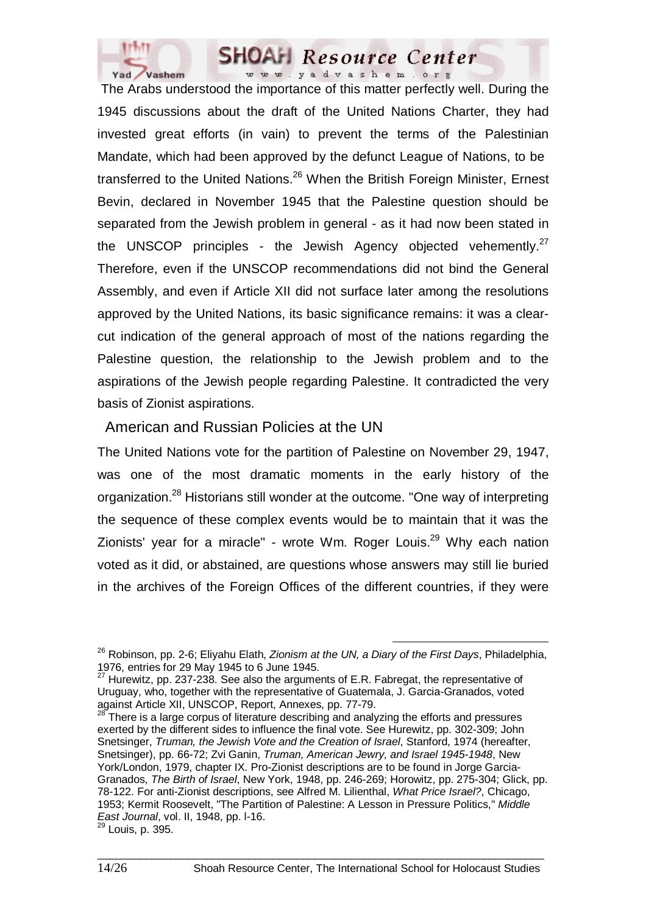

 The Arabs understood the importance of this matter perfectly well. During the 1945 discussions about the draft of the United Nations Charter, they had invested great efforts (in vain) to prevent the terms of the Palestinian Mandate, which had been approved by the defunct League of Nations, to be transferred to the United Nations.<sup>26</sup> When the British Foreign Minister, Ernest Bevin, declared in November 1945 that the Palestine question should be separated from the Jewish problem in general - as it had now been stated in the UNSCOP principles - the Jewish Agency objected vehemently. $27$ Therefore, even if the UNSCOP recommendations did not bind the General Assembly, and even if Article XII did not surface later among the resolutions approved by the United Nations, its basic significance remains: it was a clearcut indication of the general approach of most of the nations regarding the Palestine question, the relationship to the Jewish problem and to the aspirations of the Jewish people regarding Palestine. It contradicted the very basis of Zionist aspirations.

#### American and Russian Policies at the UN

The United Nations vote for the partition of Palestine on November 29, 1947, was one of the most dramatic moments in the early history of the organization.<sup>28</sup> Historians still wonder at the outcome. "One way of interpreting the sequence of these complex events would be to maintain that it was the Zionists' year for a miracle" - wrote Wm. Roger Louis.<sup>29</sup> Why each nation voted as it did, or abstained, are questions whose answers may still lie buried in the archives of the Foreign Offices of the different countries, if they were

26 Robinson, pp. 2-6; Eliyahu Elath, *Zionism at the UN, a Diary of the First Days*, Philadelphia, 1976, entries for 29 May 1945 to 6 June 1945.

 $^7$  Hurewitz, pp. 237-238. See also the arguments of E.R. Fabregat, the representative of Uruguay, who, together with the representative of Guatemala, J. Garcia-Granados, voted against Article XII, UNSCOP, Report, Annexes, pp. 77-79.

 $28^{\circ}$ There is a large corpus of literature describing and analyzing the efforts and pressures exerted by the different sides to influence the final vote. See Hurewitz, pp. 302-309; John Snetsinger, *Truman, the Jewish Vote and the Creation of Israel*, Stanford, 1974 (hereafter, Snetsinger), pp. 66-72; Zvi Ganin, *Truman, American Jewry, and Israel 1945-1948*, New York/London, 1979, chapter IX. Pro-Zionist descriptions are to be found in Jorge Garcia-Granados, *The Birth of Israel*, New York, 1948, pp. 246-269; Horowitz, pp. 275-304; Glick, pp. 78-122. For anti-Zionist descriptions, see Alfred M. Lilienthal, *What Price Israel?*, Chicago, 1953; Kermit Roosevelt, "The Partition of Palestine: A Lesson in Pressure Politics," *Middle East Journal*, vol. II, 1948, pp. l-16. 29 Louis, p. 395.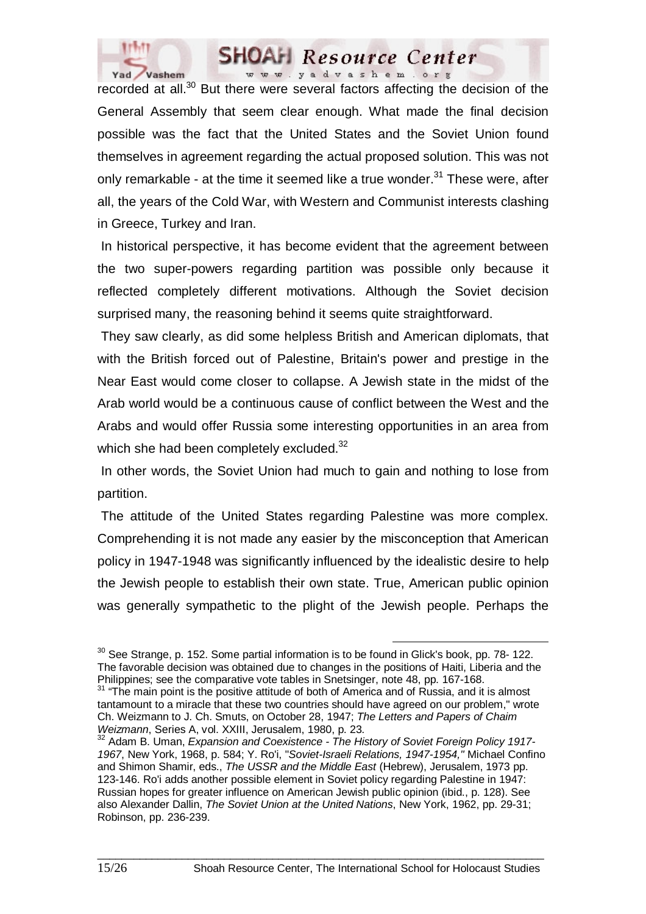

recorded at all.<sup>30</sup> But there were several factors affecting the decision of the General Assembly that seem clear enough. What made the final decision possible was the fact that the United States and the Soviet Union found themselves in agreement regarding the actual proposed solution. This was not only remarkable - at the time it seemed like a true wonder.<sup>31</sup> These were, after all, the years of the Cold War, with Western and Communist interests clashing in Greece, Turkey and Iran.

 In historical perspective, it has become evident that the agreement between the two super-powers regarding partition was possible only because it reflected completely different motivations. Although the Soviet decision surprised many, the reasoning behind it seems quite straightforward.

 They saw clearly, as did some helpless British and American diplomats, that with the British forced out of Palestine, Britain's power and prestige in the Near East would come closer to collapse. A Jewish state in the midst of the Arab world would be a continuous cause of conflict between the West and the Arabs and would offer Russia some interesting opportunities in an area from which she had been completely excluded.<sup>32</sup>

 In other words, the Soviet Union had much to gain and nothing to lose from partition.

 The attitude of the United States regarding Palestine was more complex. Comprehending it is not made any easier by the misconception that American policy in 1947-1948 was significantly influenced by the idealistic desire to help the Jewish people to establish their own state. True, American public opinion was generally sympathetic to the plight of the Jewish people. Perhaps the

 $30$  See Strange, p. 152. Some partial information is to be found in Glick's book, pp. 78-122. The favorable decision was obtained due to changes in the positions of Haiti, Liberia and the Philippines; see the comparative vote tables in Snetsinger, note 48, pp. 167-168.

 $31$  "The main point is the positive attitude of both of America and of Russia, and it is almost tantamount to a miracle that these two countries should have agreed on our problem," wrote Ch. Weizmann to J. Ch. Smuts, on October 28, 1947; *The Letters and Papers of Chaim Weizmann*, Series A, vol. XXIII, Jerusalem, 1980, p. 23.<br><sup>32</sup> Adam B. Uman, *Expansion and Coexistence - The History of Soviet Foreign Policy 1917-*

*<sup>1967</sup>*, New York, 1968, p. 584; Y. Ro'i, "*Soviet-Israeli Relations, 1947-1954,"* Michael Confino and Shimon Shamir, eds., *The USSR and the Middle East* (Hebrew), Jerusalem, 1973 pp. 123-146. Ro'i adds another possible element in Soviet policy regarding Palestine in 1947: Russian hopes for greater influence on American Jewish public opinion (ibid., p. 128). See also Alexander Dallin, *The Soviet Union at the United Nations*, New York, 1962, pp. 29-31; Robinson, pp. 236-239.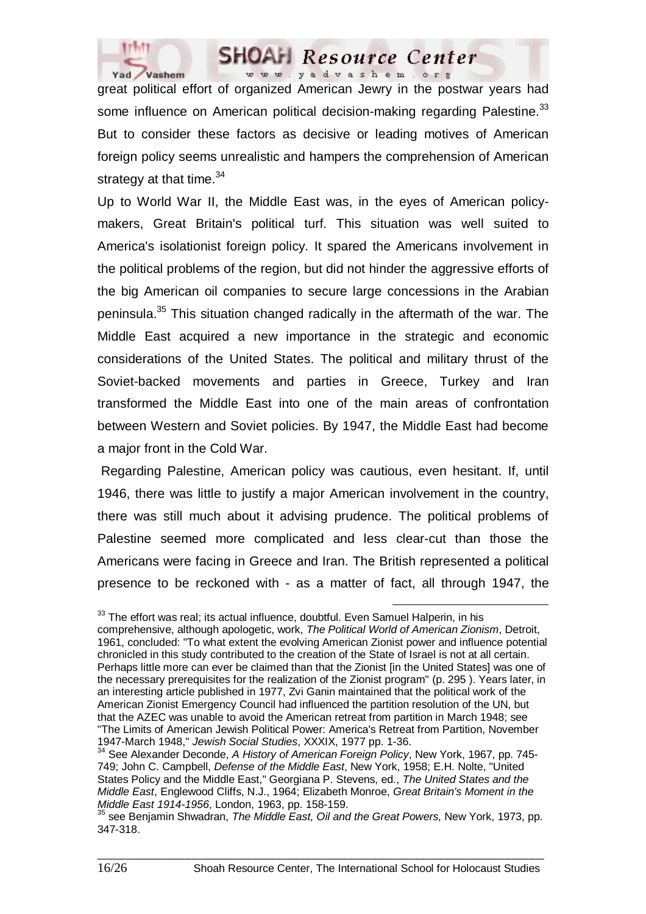



great political effort of organized American Jewry in the postwar years had some influence on American political decision-making regarding Palestine.<sup>33</sup> But to consider these factors as decisive or leading motives of American foreign policy seems unrealistic and hampers the comprehension of American strategy at that time. $34$ 

Up to World War II, the Middle East was, in the eyes of American policymakers, Great Britain's political turf. This situation was well suited to America's isolationist foreign policy. It spared the Americans involvement in the political problems of the region, but did not hinder the aggressive efforts of the big American oil companies to secure large concessions in the Arabian peninsula.35 This situation changed radically in the aftermath of the war. The Middle East acquired a new importance in the strategic and economic considerations of the United States. The political and military thrust of the Soviet-backed movements and parties in Greece, Turkey and Iran transformed the Middle East into one of the main areas of confrontation between Western and Soviet policies. By 1947, the Middle East had become a major front in the Cold War.

 Regarding Palestine, American policy was cautious, even hesitant. If, until 1946, there was little to justify a major American involvement in the country, there was still much about it advising prudence. The political problems of Palestine seemed more complicated and less clear-cut than those the Americans were facing in Greece and Iran. The British represented a political presence to be reckoned with - as a matter of fact, all through 1947, the

 $33$  The effort was real; its actual influence, doubtful. Even Samuel Halperin, in his comprehensive, although apologetic, work, *The Political World of American Zionism*, Detroit, 1961, concluded: "To what extent the evolving American Zionist power and influence potential chronicled in this study contributed to the creation of the State of Israel is not at all certain. Perhaps little more can ever be claimed than that the Zionist [in the United States] was one of the necessary prerequisites for the realization of the Zionist program" (p. 295 ). Years later, in an interesting article published in 1977, Zvi Ganin maintained that the political work of the American Zionist Emergency Council had influenced the partition resolution of the UN, but that the AZEC was unable to avoid the American retreat from partition in March 1948; see "The Limits of American Jewish Political Power: America's Retreat from Partition, November<br>1947-March 1948," Jewish Social Studies, XXXIX, 1977 pp. 1-36.

<sup>&</sup>lt;sup>34</sup> See Alexander Deconde, A History of American Foreign Policy, New York, 1967, pp. 745-749; John C. Campbell, *Defense of the Middle East*, New York, 1958; E.H. Nolte, "United States Policy and the Middle East," Georgiana P. Stevens, ed., *The United States and the Middle East*, Englewood Cliffs, N.J., 1964; Elizabeth Monroe, *Great Britain's Moment in the* 

<sup>&</sup>lt;sup>35</sup> see Benjamin Shwadran, The Middle East, Oil and the Great Powers, New York, 1973, pp. 347-318.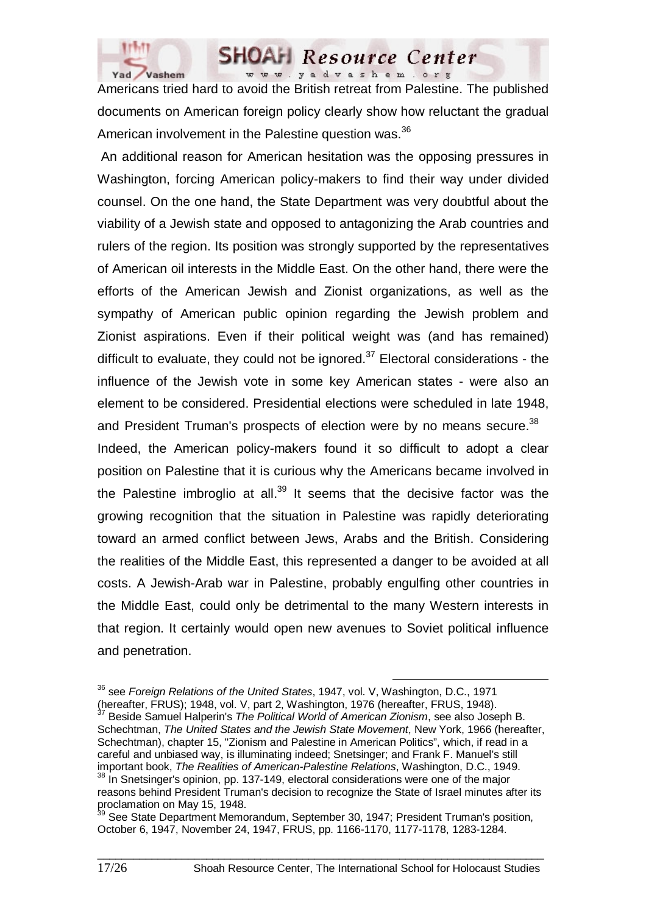

Americans tried hard to avoid the British retreat from Palestine. The published documents on American foreign policy clearly show how reluctant the gradual American involvement in the Palestine question was.<sup>36</sup>

 An additional reason for American hesitation was the opposing pressures in Washington, forcing American policy-makers to find their way under divided counsel. On the one hand, the State Department was very doubtful about the viability of a Jewish state and opposed to antagonizing the Arab countries and rulers of the region. Its position was strongly supported by the representatives of American oil interests in the Middle East. On the other hand, there were the efforts of the American Jewish and Zionist organizations, as well as the sympathy of American public opinion regarding the Jewish problem and Zionist aspirations. Even if their political weight was (and has remained) difficult to evaluate, they could not be ignored. $37$  Electoral considerations - the influence of the Jewish vote in some key American states - were also an element to be considered. Presidential elections were scheduled in late 1948, and President Truman's prospects of election were by no means secure.<sup>38</sup>

Indeed, the American policy-makers found it so difficult to adopt a clear position on Palestine that it is curious why the Americans became involved in the Palestine imbroglio at all.<sup>39</sup> It seems that the decisive factor was the growing recognition that the situation in Palestine was rapidly deteriorating toward an armed conflict between Jews, Arabs and the British. Considering the realities of the Middle East, this represented a danger to be avoided at all costs. A Jewish-Arab war in Palestine, probably engulfing other countries in the Middle East, could only be detrimental to the many Western interests in that region. It certainly would open new avenues to Soviet political influence and penetration.

Schechtman), chapter 15, "Zionism and Palestine in American Politics", which, if read in a careful and unbiased way, is illuminating indeed; Snetsinger; and Frank F. Manuel's still important book, The Realities of American-Palestine Relations, Washington, D.C., 1949.

36 see *Foreign Relations of the United States*, 1947, vol. V, Washington, D.C., 1971 (hereafter, FRUS); 1948, vol. V, part 2, Washington, 1976 (hereafter, FRUS, 1948). 37 Beside Samuel Halperin's *The Political World of American Zionism*, see also Joseph B. Schechtman, *The United States and the Jewish State Movement*, New York, 1966 (hereafter,

<sup>&</sup>lt;sup>38</sup> In Snetsinger's opinion, pp. 137-149, electoral considerations were one of the major reasons behind President Truman's decision to recognize the State of Israel minutes after its proclamation on May 15, 1948.

<sup>&</sup>lt;sup>39</sup> See State Department Memorandum, September 30, 1947; President Truman's position, October 6, 1947, November 24, 1947, FRUS, pp. 1166-1170, 1177-1178, 1283-1284.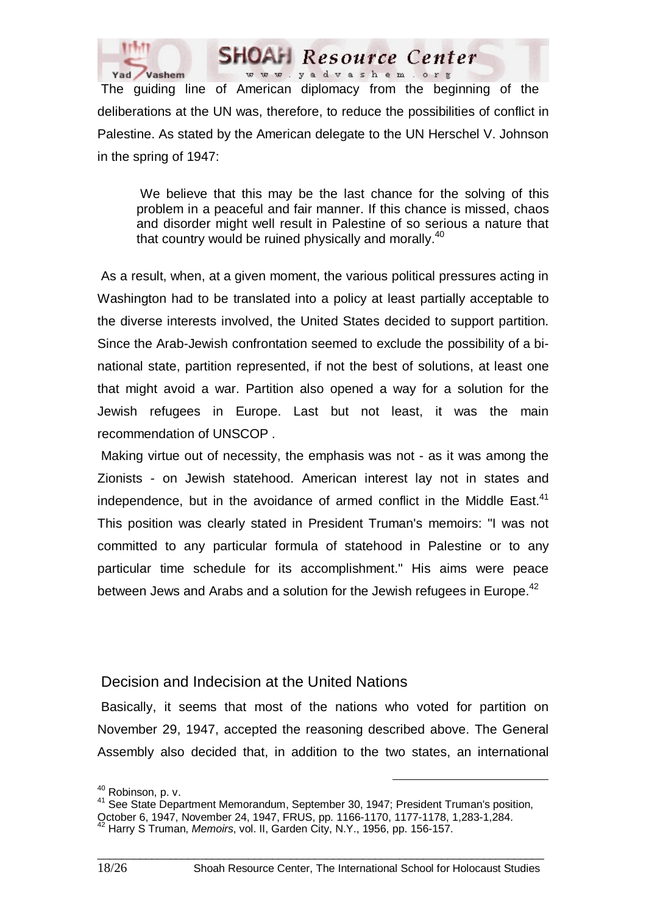

deliberations at the UN was, therefore, to reduce the possibilities of conflict in Palestine. As stated by the American delegate to the UN Herschel V. Johnson in the spring of 1947:

 We believe that this may be the last chance for the solving of this problem in a peaceful and fair manner. If this chance is missed, chaos and disorder might well result in Palestine of so serious a nature that that country would be ruined physically and morally.<sup>40</sup>

 As a result, when, at a given moment, the various political pressures acting in Washington had to be translated into a policy at least partially acceptable to the diverse interests involved, the United States decided to support partition. Since the Arab-Jewish confrontation seemed to exclude the possibility of a binational state, partition represented, if not the best of solutions, at least one that might avoid a war. Partition also opened a way for a solution for the Jewish refugees in Europe. Last but not least, it was the main recommendation of UNSCOP .

 Making virtue out of necessity, the emphasis was not - as it was among the Zionists - on Jewish statehood. American interest lay not in states and independence, but in the avoidance of armed conflict in the Middle East. $41$ This position was clearly stated in President Truman's memoirs: "I was not committed to any particular formula of statehood in Palestine or to any particular time schedule for its accomplishment." His aims were peace between Jews and Arabs and a solution for the Jewish refugees in Europe.<sup>42</sup>

#### Decision and Indecision at the United Nations

 Basically, it seems that most of the nations who voted for partition on November 29, 1947, accepted the reasoning described above. The General Assembly also decided that, in addition to the two states, an international

<sup>&</sup>lt;sup>40</sup> Robinson, p. v.<br><sup>41</sup> See State Department Memorandum, September 30, 1947; President Truman's position, October 6, 1947, November 24, 1947, FRUS, pp. 1166-1170, 1177-1178, 1,283-1,284. 42 Harry S Truman, *Memoirs*, vol. II, Garden City, N.Y., 1956, pp. 156-157.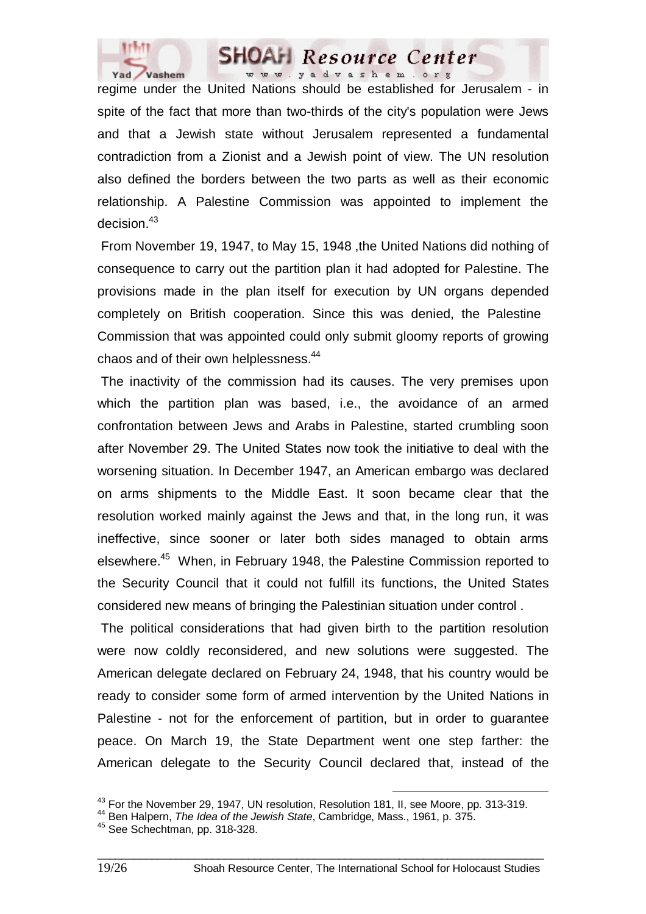

regime under the United Nations should be established for Jerusalem - in spite of the fact that more than two-thirds of the city's population were Jews and that a Jewish state without Jerusalem represented a fundamental contradiction from a Zionist and a Jewish point of view. The UN resolution also defined the borders between the two parts as well as their economic relationship. A Palestine Commission was appointed to implement the decision.43

 From November 19, 1947, to May 15, 1948 ,the United Nations did nothing of consequence to carry out the partition plan it had adopted for Palestine. The provisions made in the plan itself for execution by UN organs depended completely on British cooperation. Since this was denied, the Palestine Commission that was appointed could only submit gloomy reports of growing chaos and of their own helplessness.44

 The inactivity of the commission had its causes. The very premises upon which the partition plan was based, i.e., the avoidance of an armed confrontation between Jews and Arabs in Palestine, started crumbling soon after November 29. The United States now took the initiative to deal with the worsening situation. In December 1947, an American embargo was declared on arms shipments to the Middle East. It soon became clear that the resolution worked mainly against the Jews and that, in the long run, it was ineffective, since sooner or later both sides managed to obtain arms elsewhere.<sup>45</sup> When, in February 1948, the Palestine Commission reported to the Security Council that it could not fulfill its functions, the United States considered new means of bringing the Palestinian situation under control .

 The political considerations that had given birth to the partition resolution were now coldly reconsidered, and new solutions were suggested. The American delegate declared on February 24, 1948, that his country would be ready to consider some form of armed intervention by the United Nations in Palestine - not for the enforcement of partition, but in order to guarantee peace. On March 19, the State Department went one step farther: the American delegate to the Security Council declared that, instead of the

<sup>&</sup>lt;sup>43</sup> For the November 29, 1947, UN resolution, Resolution 181, II, see Moore, pp. 313-319.<br><sup>44</sup> Ben Halpern, *The Idea of the Jewish State*, Cambridge, Mass., 1961, p. 375.<br><sup>45</sup> See Schechtman, pp. 318-328.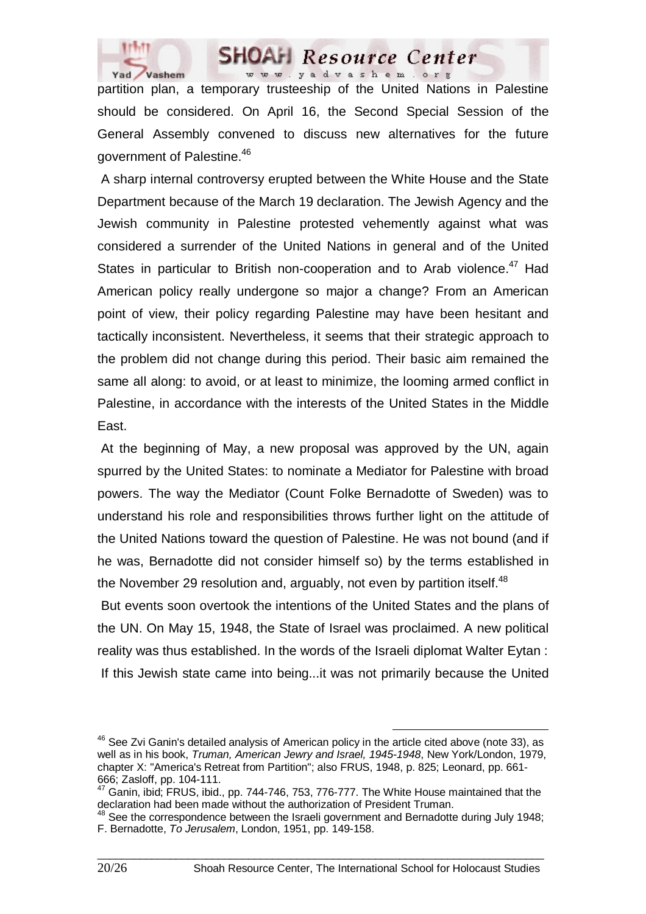



partition plan, a temporary trusteeship of the United Nations in Palestine should be considered. On April 16, the Second Special Session of the General Assembly convened to discuss new alternatives for the future government of Palestine.46

 A sharp internal controversy erupted between the White House and the State Department because of the March 19 declaration. The Jewish Agency and the Jewish community in Palestine protested vehemently against what was considered a surrender of the United Nations in general and of the United States in particular to British non-cooperation and to Arab violence.<sup>47</sup> Had American policy really undergone so major a change? From an American point of view, their policy regarding Palestine may have been hesitant and tactically inconsistent. Nevertheless, it seems that their strategic approach to the problem did not change during this period. Their basic aim remained the same all along: to avoid, or at least to minimize, the looming armed conflict in Palestine, in accordance with the interests of the United States in the Middle East.

 At the beginning of May, a new proposal was approved by the UN, again spurred by the United States: to nominate a Mediator for Palestine with broad powers. The way the Mediator (Count Folke Bernadotte of Sweden) was to understand his role and responsibilities throws further light on the attitude of the United Nations toward the question of Palestine. He was not bound (and if he was, Bernadotte did not consider himself so) by the terms established in the November 29 resolution and, arguably, not even by partition itself.<sup>48</sup>

 But events soon overtook the intentions of the United States and the plans of the UN. On May 15, 1948, the State of Israel was proclaimed. A new political reality was thus established. In the words of the Israeli diplomat Walter Eytan : If this Jewish state came into being...it was not primarily because the United

 $46$  See Zvi Ganin's detailed analysis of American policy in the article cited above (note 33), as well as in his book, *Truman, American Jewry and Israel, 1945-1948*, New York/London, 1979, chapter X: "America's Retreat from Partition"; also FRUS, 1948, p. 825; Leonard, pp. 661- 666; Zasloff, pp. 104-111.

<sup>47</sup> Ganin, ibid; FRUS, ibid., pp. 744-746, 753, 776-777. The White House maintained that the declaration had been made without the authorization of President Truman.

<sup>48</sup> See the correspondence between the Israeli government and Bernadotte during July 1948; F. Bernadotte, *To Jerusalem*, London, 1951, pp. 149-158.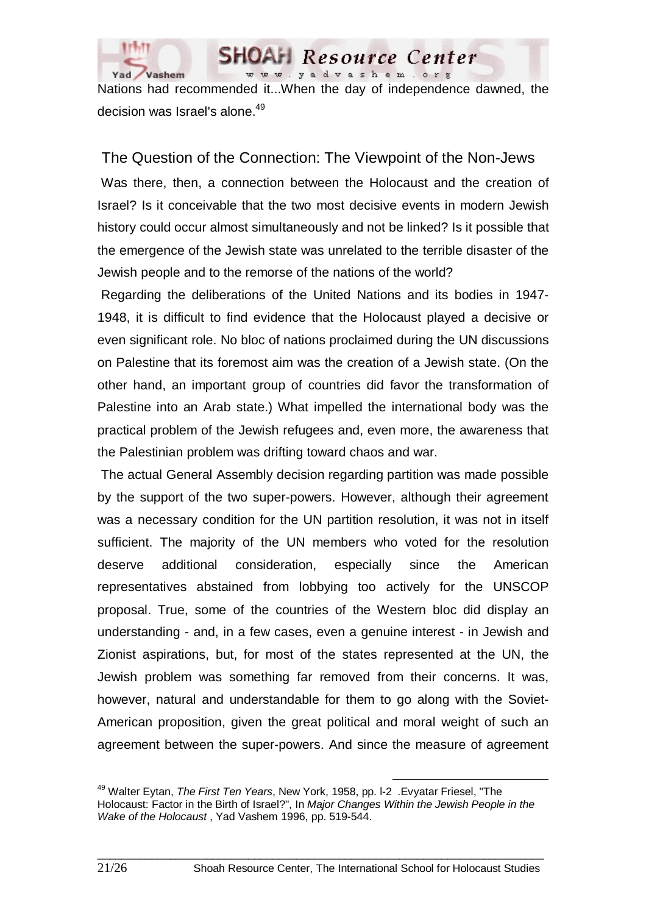

Nations had recommended it...When the day of independence dawned, the decision was Israel's alone.<sup>49</sup>

**SHOAH** Resource Center www.yadvashem.org

#### The Question of the Connection: The Viewpoint of the Non-Jews

 Was there, then, a connection between the Holocaust and the creation of Israel? Is it conceivable that the two most decisive events in modern Jewish history could occur almost simultaneously and not be linked? Is it possible that the emergence of the Jewish state was unrelated to the terrible disaster of the Jewish people and to the remorse of the nations of the world?

 Regarding the deliberations of the United Nations and its bodies in 1947- 1948, it is difficult to find evidence that the Holocaust played a decisive or even significant role. No bloc of nations proclaimed during the UN discussions on Palestine that its foremost aim was the creation of a Jewish state. (On the other hand, an important group of countries did favor the transformation of Palestine into an Arab state.) What impelled the international body was the practical problem of the Jewish refugees and, even more, the awareness that the Palestinian problem was drifting toward chaos and war.

 The actual General Assembly decision regarding partition was made possible by the support of the two super-powers. However, although their agreement was a necessary condition for the UN partition resolution, it was not in itself sufficient. The majority of the UN members who voted for the resolution deserve additional consideration, especially since the American representatives abstained from lobbying too actively for the UNSCOP proposal. True, some of the countries of the Western bloc did display an understanding - and, in a few cases, even a genuine interest - in Jewish and Zionist aspirations, but, for most of the states represented at the UN, the Jewish problem was something far removed from their concerns. It was, however, natural and understandable for them to go along with the Soviet-American proposition, given the great political and moral weight of such an agreement between the super-powers. And since the measure of agreement

49 Walter Eytan, *The First Ten Years*, New York, 1958, pp. l-2 .Evyatar Friesel, "The Holocaust: Factor in the Birth of Israel?", In *Major Changes Within the Jewish People in the Wake of the Holocaust* , Yad Vashem 1996, pp. 519-544.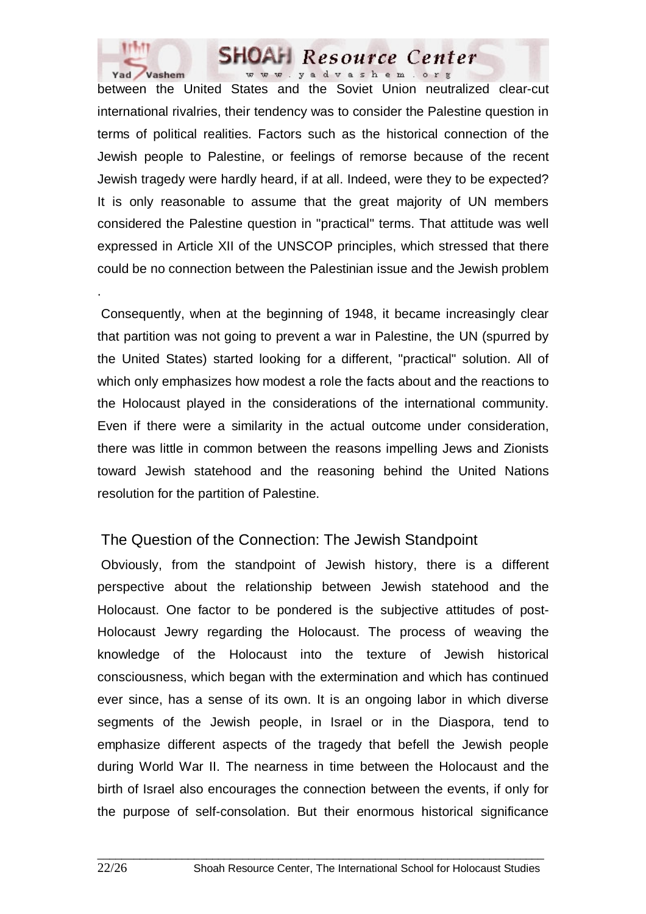

.

#### **SHOAH** Resource Center www.yadvashem.org

between the United States and the Soviet Union neutralized clear-cut international rivalries, their tendency was to consider the Palestine question in terms of political realities. Factors such as the historical connection of the Jewish people to Palestine, or feelings of remorse because of the recent Jewish tragedy were hardly heard, if at all. Indeed, were they to be expected? It is only reasonable to assume that the great majority of UN members considered the Palestine question in "practical" terms. That attitude was well expressed in Article XII of the UNSCOP principles, which stressed that there could be no connection between the Palestinian issue and the Jewish problem

 Consequently, when at the beginning of 1948, it became increasingly clear that partition was not going to prevent a war in Palestine, the UN (spurred by the United States) started looking for a different, "practical" solution. All of which only emphasizes how modest a role the facts about and the reactions to the Holocaust played in the considerations of the international community. Even if there were a similarity in the actual outcome under consideration, there was little in common between the reasons impelling Jews and Zionists toward Jewish statehood and the reasoning behind the United Nations resolution for the partition of Palestine.

## The Question of the Connection: The Jewish Standpoint

 Obviously, from the standpoint of Jewish history, there is a different perspective about the relationship between Jewish statehood and the Holocaust. One factor to be pondered is the subjective attitudes of post-Holocaust Jewry regarding the Holocaust. The process of weaving the knowledge of the Holocaust into the texture of Jewish historical consciousness, which began with the extermination and which has continued ever since, has a sense of its own. It is an ongoing labor in which diverse segments of the Jewish people, in Israel or in the Diaspora, tend to emphasize different aspects of the tragedy that befell the Jewish people during World War II. The nearness in time between the Holocaust and the birth of Israel also encourages the connection between the events, if only for the purpose of self-consolation. But their enormous historical significance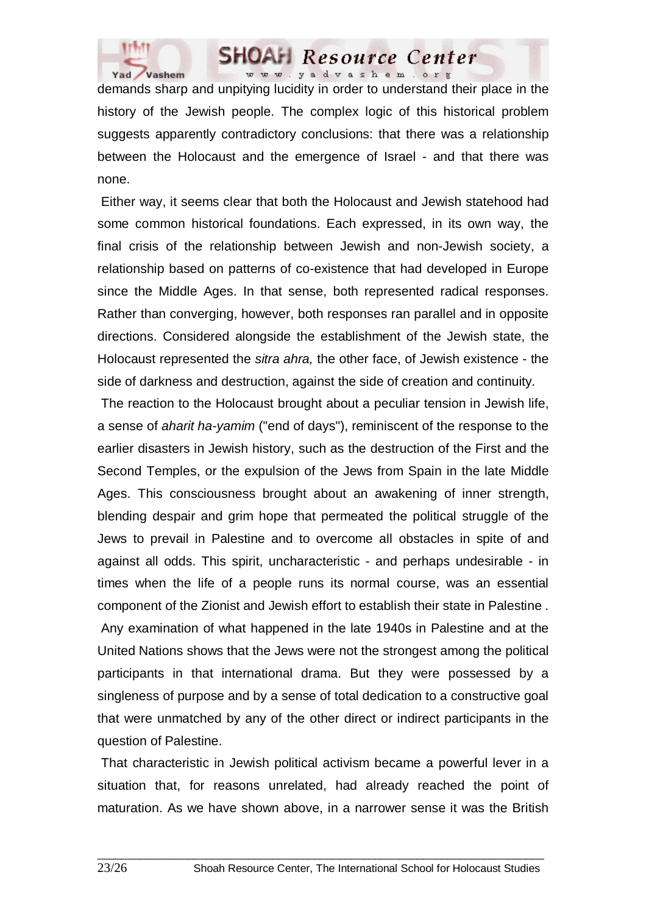

demands sharp and unpitying lucidity in order to understand their place in the history of the Jewish people. The complex logic of this historical problem suggests apparently contradictory conclusions: that there was a relationship between the Holocaust and the emergence of Israel - and that there was none.

 Either way, it seems clear that both the Holocaust and Jewish statehood had some common historical foundations. Each expressed, in its own way, the final crisis of the relationship between Jewish and non-Jewish society, a relationship based on patterns of co-existence that had developed in Europe since the Middle Ages. In that sense, both represented radical responses. Rather than converging, however, both responses ran parallel and in opposite directions. Considered alongside the establishment of the Jewish state, the Holocaust represented the *sitra ahra,* the other face, of Jewish existence - the side of darkness and destruction, against the side of creation and continuity.

 The reaction to the Holocaust brought about a peculiar tension in Jewish life, a sense of *aharit ha-yamim* ("end of days"), reminiscent of the response to the earlier disasters in Jewish history, such as the destruction of the First and the Second Temples, or the expulsion of the Jews from Spain in the late Middle Ages. This consciousness brought about an awakening of inner strength, blending despair and grim hope that permeated the political struggle of the Jews to prevail in Palestine and to overcome all obstacles in spite of and against all odds. This spirit, uncharacteristic - and perhaps undesirable - in times when the life of a people runs its normal course, was an essential component of the Zionist and Jewish effort to establish their state in Palestine . Any examination of what happened in the late 1940s in Palestine and at the United Nations shows that the Jews were not the strongest among the political participants in that international drama. But they were possessed by a singleness of purpose and by a sense of total dedication to a constructive goal that were unmatched by any of the other direct or indirect participants in the question of Palestine.

 That characteristic in Jewish political activism became a powerful lever in a situation that, for reasons unrelated, had already reached the point of maturation. As we have shown above, in a narrower sense it was the British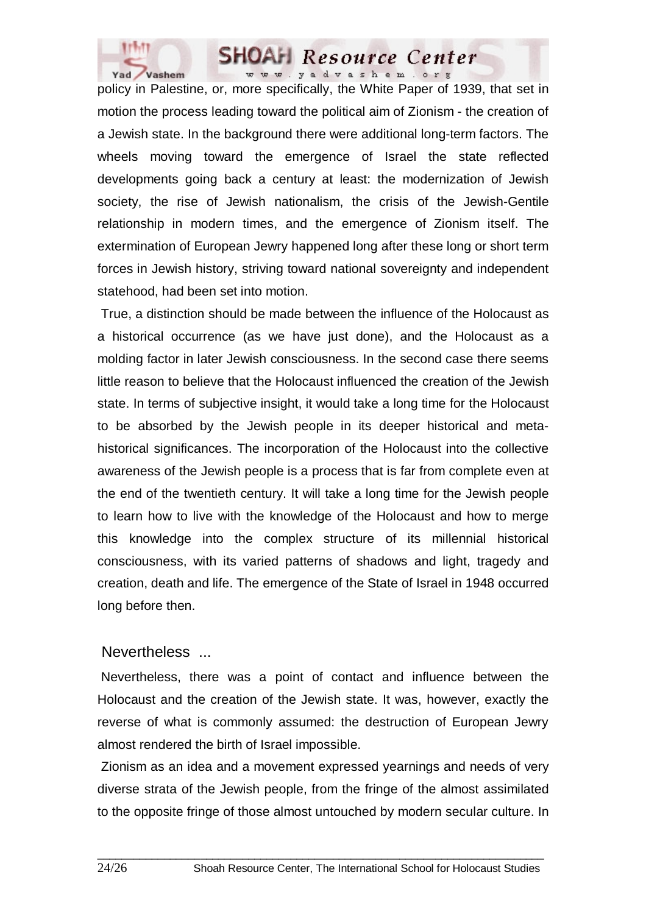

policy in Palestine, or, more specifically, the White Paper of 1939, that set in motion the process leading toward the political aim of Zionism - the creation of a Jewish state. In the background there were additional long-term factors. The wheels moving toward the emergence of Israel the state reflected developments going back a century at least: the modernization of Jewish society, the rise of Jewish nationalism, the crisis of the Jewish-Gentile relationship in modern times, and the emergence of Zionism itself. The extermination of European Jewry happened long after these long or short term forces in Jewish history, striving toward national sovereignty and independent statehood, had been set into motion.

 True, a distinction should be made between the influence of the Holocaust as a historical occurrence (as we have just done), and the Holocaust as a molding factor in later Jewish consciousness. In the second case there seems little reason to believe that the Holocaust influenced the creation of the Jewish state. In terms of subjective insight, it would take a long time for the Holocaust to be absorbed by the Jewish people in its deeper historical and metahistorical significances. The incorporation of the Holocaust into the collective awareness of the Jewish people is a process that is far from complete even at the end of the twentieth century. It will take a long time for the Jewish people to learn how to live with the knowledge of the Holocaust and how to merge this knowledge into the complex structure of its millennial historical consciousness, with its varied patterns of shadows and light, tragedy and creation, death and life. The emergence of the State of Israel in 1948 occurred long before then.

#### Nevertheless ...

 Nevertheless, there was a point of contact and influence between the Holocaust and the creation of the Jewish state. It was, however, exactly the reverse of what is commonly assumed: the destruction of European Jewry almost rendered the birth of Israel impossible.

 Zionism as an idea and a movement expressed yearnings and needs of very diverse strata of the Jewish people, from the fringe of the almost assimilated to the opposite fringe of those almost untouched by modern secular culture. In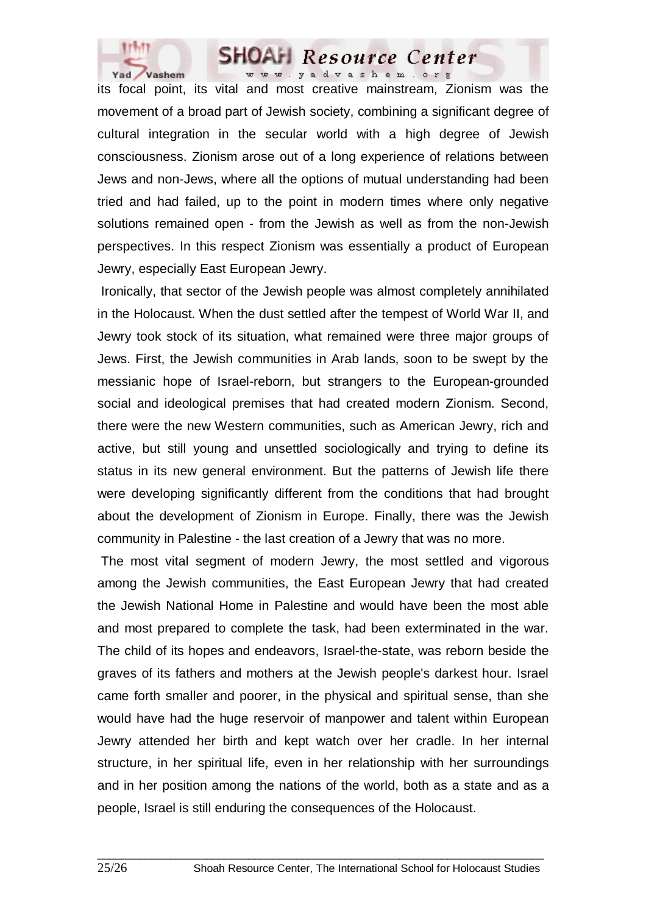

its focal point, its vital and most creative mainstream, Zionism was the movement of a broad part of Jewish society, combining a significant degree of cultural integration in the secular world with a high degree of Jewish consciousness. Zionism arose out of a long experience of relations between Jews and non-Jews, where all the options of mutual understanding had been tried and had failed, up to the point in modern times where only negative solutions remained open - from the Jewish as well as from the non-Jewish perspectives. In this respect Zionism was essentially a product of European Jewry, especially East European Jewry.

 Ironically, that sector of the Jewish people was almost completely annihilated in the Holocaust. When the dust settled after the tempest of World War II, and Jewry took stock of its situation, what remained were three major groups of Jews. First, the Jewish communities in Arab lands, soon to be swept by the messianic hope of Israel-reborn, but strangers to the European-grounded social and ideological premises that had created modern Zionism. Second, there were the new Western communities, such as American Jewry, rich and active, but still young and unsettled sociologically and trying to define its status in its new general environment. But the patterns of Jewish life there were developing significantly different from the conditions that had brought about the development of Zionism in Europe. Finally, there was the Jewish community in Palestine - the last creation of a Jewry that was no more.

 The most vital segment of modern Jewry, the most settled and vigorous among the Jewish communities, the East European Jewry that had created the Jewish National Home in Palestine and would have been the most able and most prepared to complete the task, had been exterminated in the war. The child of its hopes and endeavors, Israel-the-state, was reborn beside the graves of its fathers and mothers at the Jewish people's darkest hour. Israel came forth smaller and poorer, in the physical and spiritual sense, than she would have had the huge reservoir of manpower and talent within European Jewry attended her birth and kept watch over her cradle. In her internal structure, in her spiritual life, even in her relationship with her surroundings and in her position among the nations of the world, both as a state and as a people, Israel is still enduring the consequences of the Holocaust.